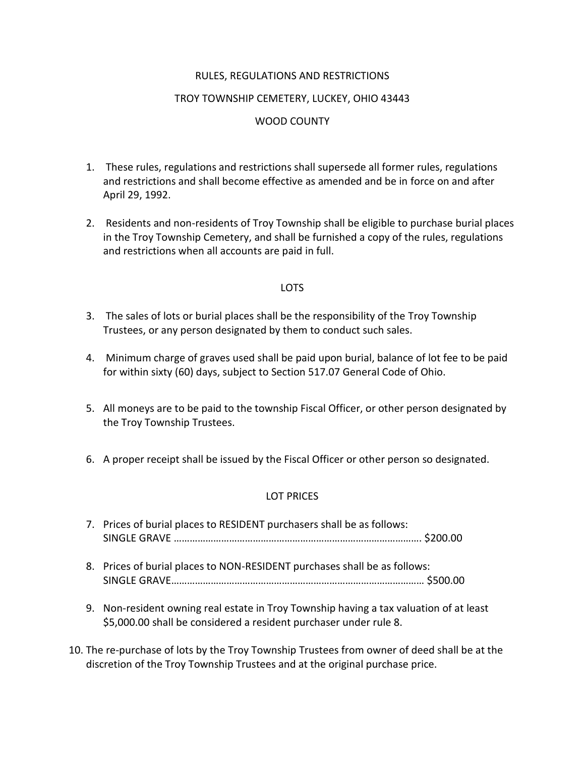## RULES, REGULATIONS AND RESTRICTIONS

#### TROY TOWNSHIP CEMETERY, LUCKEY, OHIO 43443

## WOOD COUNTY

- 1. These rules, regulations and restrictions shall supersede all former rules, regulations and restrictions and shall become effective as amended and be in force on and after April 29, 1992.
- 2. Residents and non-residents of Troy Township shall be eligible to purchase burial places in the Troy Township Cemetery, and shall be furnished a copy of the rules, regulations and restrictions when all accounts are paid in full.

### LOTS

- 3. The sales of lots or burial places shall be the responsibility of the Troy Township Trustees, or any person designated by them to conduct such sales.
- 4. Minimum charge of graves used shall be paid upon burial, balance of lot fee to be paid for within sixty (60) days, subject to Section 517.07 General Code of Ohio.
- 5. All moneys are to be paid to the township Fiscal Officer, or other person designated by the Troy Township Trustees.
- 6. A proper receipt shall be issued by the Fiscal Officer or other person so designated.

### LOT PRICES

| 7. Prices of burial places to RESIDENT purchasers shall be as follows:                                                                                      |  |  |
|-------------------------------------------------------------------------------------------------------------------------------------------------------------|--|--|
|                                                                                                                                                             |  |  |
| 8. Prices of burial places to NON-RESIDENT purchases shall be as follows:                                                                                   |  |  |
| 9. Non-resident owning real estate in Troy Township having a tax valuation of at least<br>\$5,000.00 shall be considered a resident purchaser under rule 8. |  |  |

10. The re-purchase of lots by the Troy Township Trustees from owner of deed shall be at the discretion of the Troy Township Trustees and at the original purchase price.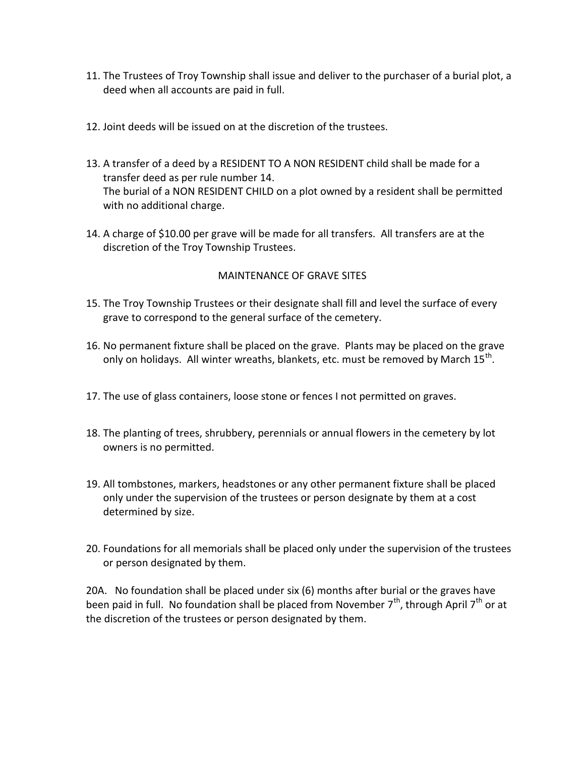- 11. The Trustees of Troy Township shall issue and deliver to the purchaser of a burial plot, a deed when all accounts are paid in full.
- 12. Joint deeds will be issued on at the discretion of the trustees.
- 13. A transfer of a deed by a RESIDENT TO A NON RESIDENT child shall be made for a transfer deed as per rule number 14. The burial of a NON RESIDENT CHILD on a plot owned by a resident shall be permitted with no additional charge.
- 14. A charge of \$10.00 per grave will be made for all transfers. All transfers are at the discretion of the Troy Township Trustees.

# MAINTENANCE OF GRAVE SITES

- 15. The Troy Township Trustees or their designate shall fill and level the surface of every grave to correspond to the general surface of the cemetery.
- 16. No permanent fixture shall be placed on the grave. Plants may be placed on the grave only on holidays. All winter wreaths, blankets, etc. must be removed by March 15<sup>th</sup>.
- 17. The use of glass containers, loose stone or fences I not permitted on graves.
- 18. The planting of trees, shrubbery, perennials or annual flowers in the cemetery by lot owners is no permitted.
- 19. All tombstones, markers, headstones or any other permanent fixture shall be placed only under the supervision of the trustees or person designate by them at a cost determined by size.
- 20. Foundations for all memorials shall be placed only under the supervision of the trustees or person designated by them.

20A. No foundation shall be placed under six (6) months after burial or the graves have been paid in full. No foundation shall be placed from November  $7<sup>th</sup>$ , through April  $7<sup>th</sup>$  or at the discretion of the trustees or person designated by them.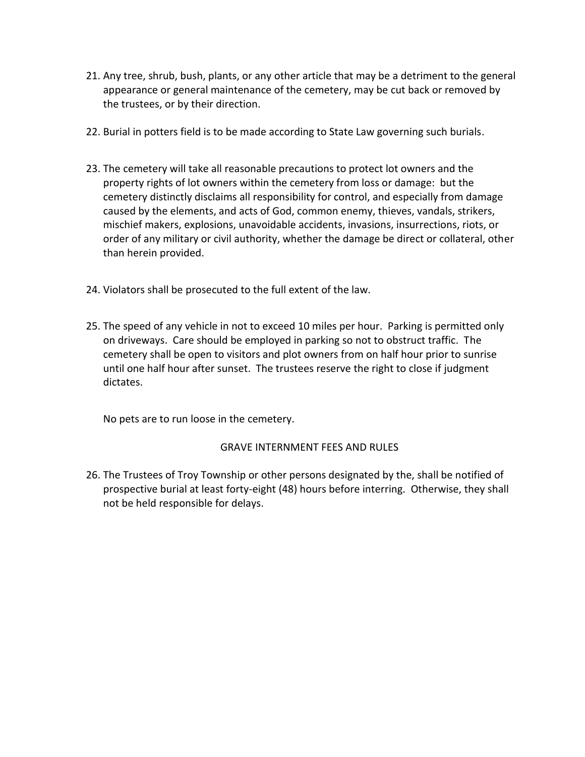- 21. Any tree, shrub, bush, plants, or any other article that may be a detriment to the general appearance or general maintenance of the cemetery, may be cut back or removed by the trustees, or by their direction.
- 22. Burial in potters field is to be made according to State Law governing such burials.
- 23. The cemetery will take all reasonable precautions to protect lot owners and the property rights of lot owners within the cemetery from loss or damage: but the cemetery distinctly disclaims all responsibility for control, and especially from damage caused by the elements, and acts of God, common enemy, thieves, vandals, strikers, mischief makers, explosions, unavoidable accidents, invasions, insurrections, riots, or order of any military or civil authority, whether the damage be direct or collateral, other than herein provided.
- 24. Violators shall be prosecuted to the full extent of the law.
- 25. The speed of any vehicle in not to exceed 10 miles per hour. Parking is permitted only on driveways. Care should be employed in parking so not to obstruct traffic. The cemetery shall be open to visitors and plot owners from on half hour prior to sunrise until one half hour after sunset. The trustees reserve the right to close if judgment dictates.

No pets are to run loose in the cemetery.

### GRAVE INTERNMENT FEES AND RULES

26. The Trustees of Troy Township or other persons designated by the, shall be notified of prospective burial at least forty-eight (48) hours before interring. Otherwise, they shall not be held responsible for delays.